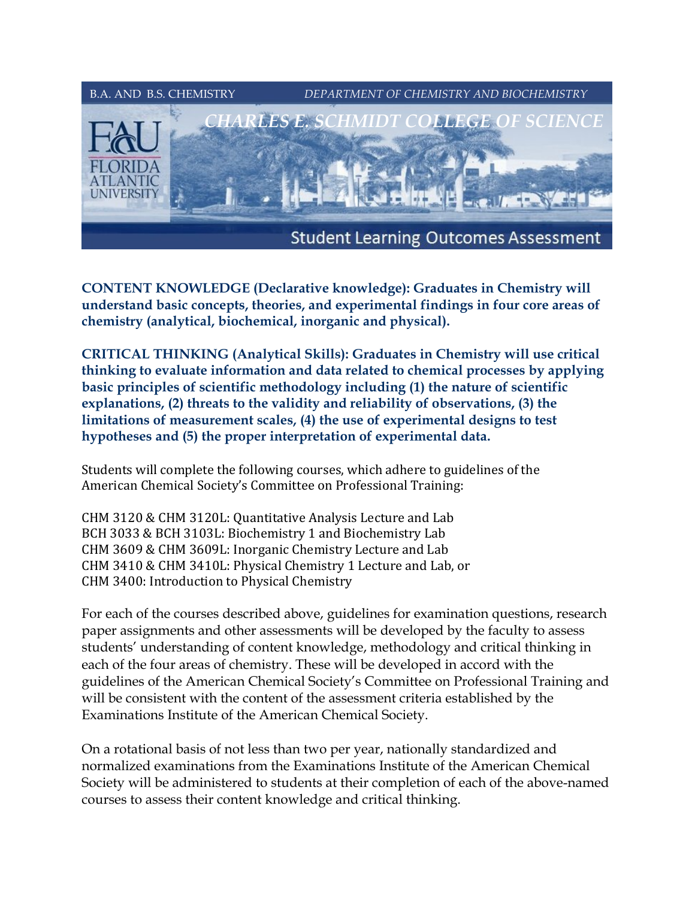

**CONTENT KNOWLEDGE (Declarative knowledge): Graduates in Chemistry will understand basic concepts, theories, and experimental findings in four core areas of chemistry (analytical, biochemical, inorganic and physical).** 

**CRITICAL THINKING (Analytical Skills): Graduates in Chemistry will use critical thinking to evaluate information and data related to chemical processes by applying basic principles of scientific methodology including (1) the nature of scientific explanations, (2) threats to the validity and reliability of observations, (3) the limitations of measurement scales, (4) the use of experimental designs to test hypotheses and (5) the proper interpretation of experimental data.** 

Students will complete the following courses, which adhere to guidelines of the American Chemical Society's Committee on Professional Training:

CHM 3120 & CHM 3120L: Quantitative Analysis Lecture and Lab BCH 3033 & BCH 3103L: Biochemistry 1 and Biochemistry Lab CHM 3609 & CHM 3609L: Inorganic Chemistry Lecture and Lab CHM 3410 & CHM 3410L: Physical Chemistry 1 Lecture and Lab, or CHM 3400: Introduction to Physical Chemistry

For each of the courses described above, guidelines for examination questions, research paper assignments and other assessments will be developed by the faculty to assess students' understanding of content knowledge, methodology and critical thinking in each of the four areas of chemistry. These will be developed in accord with the guidelines of the American Chemical Society's Committee on Professional Training and will be consistent with the content of the assessment criteria established by the Examinations Institute of the American Chemical Society.

On a rotational basis of not less than two per year, nationally standardized and normalized examinations from the Examinations Institute of the American Chemical Society will be administered to students at their completion of each of the above-named courses to assess their content knowledge and critical thinking.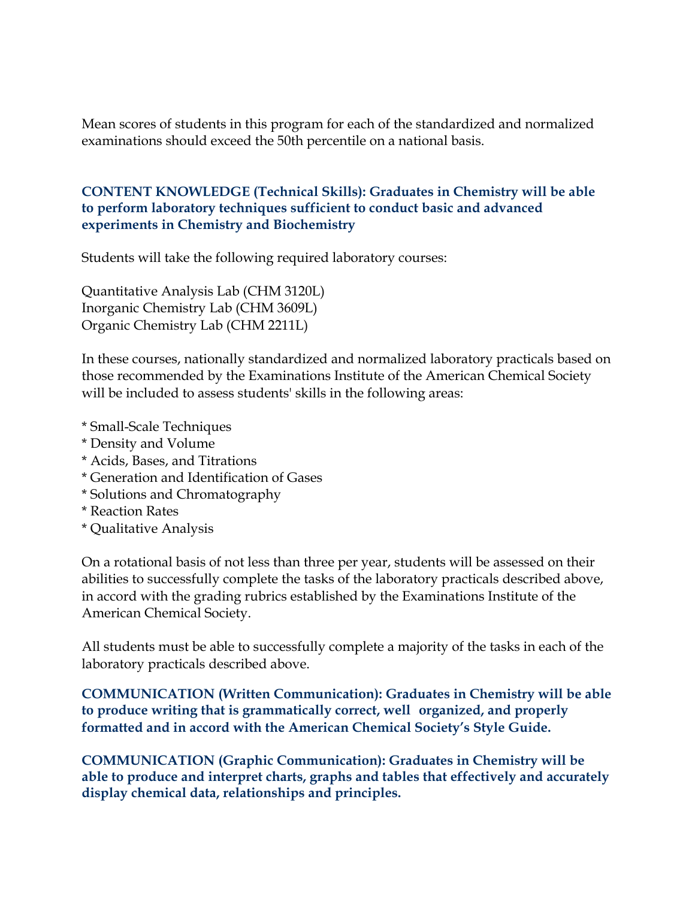Mean scores of students in this program for each of the standardized and normalized examinations should exceed the 50th percentile on a national basis.

## **CONTENT KNOWLEDGE (Technical Skills): Graduates in Chemistry will be able to perform laboratory techniques sufficient to conduct basic and advanced experiments in Chemistry and Biochemistry**

Students will take the following required laboratory courses:

Quantitative Analysis Lab (CHM 3120L) Inorganic Chemistry Lab (CHM 3609L) Organic Chemistry Lab (CHM 2211L)

In these courses, nationally standardized and normalized laboratory practicals based on those recommended by the Examinations Institute of the American Chemical Society will be included to assess students' skills in the following areas:

- \* Small-Scale Techniques
- \* Density and Volume
- \* Acids, Bases, and Titrations
- \* Generation and Identification of Gases
- \* Solutions and Chromatography
- \* Reaction Rates
- \* Qualitative Analysis

On a rotational basis of not less than three per year, students will be assessed on their abilities to successfully complete the tasks of the laboratory practicals described above, in accord with the grading rubrics established by the Examinations Institute of the American Chemical Society.

All students must be able to successfully complete a majority of the tasks in each of the laboratory practicals described above.

**COMMUNICATION (Written Communication): Graduates in Chemistry will be able to produce writing that is grammatically correct, wellorganized, and properly formatted and in accord with the American Chemical Society's Style Guide.** 

**COMMUNICATION (Graphic Communication): Graduates in Chemistry will be able to produce and interpret charts, graphs and tables that effectively and accurately display chemical data, relationships and principles.**